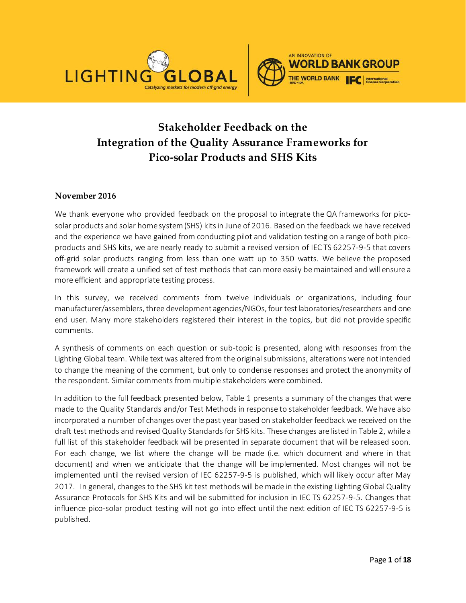



# **Stakeholder Feedback on the Integration of the Quality Assurance Frameworks for Pico-solar Products and SHS Kits**

### **November 2016**

We thank everyone who provided feedback on the proposal to integrate the QA frameworks for picosolar products and solar home system (SHS) kitsin June of 2016. Based on the feedback we have received and the experience we have gained from conducting pilot and validation testing on a range of both picoproducts and SHS kits, we are nearly ready to submit a revised version of IEC TS 62257-9-5 that covers off-grid solar products ranging from less than one watt up to 350 watts. We believe the proposed framework will create a unified set of test methods that can more easily be maintained and will ensure a more efficient and appropriate testing process.

In this survey, we received comments from twelve individuals or organizations, including four manufacturer/assemblers, three development agencies/NGOs, four test laboratories/researchers and one end user. Many more stakeholders registered their interest in the topics, but did not provide specific comments.

A synthesis of comments on each question or sub-topic is presented, along with responses from the Lighting Global team. While text was altered from the original submissions, alterations were not intended to change the meaning of the comment, but only to condense responses and protect the anonymity of the respondent. Similar comments from multiple stakeholders were combined.

In addition to the full feedback presented below, Table 1 presents a summary of the changes that were made to the Quality Standards and/or Test Methods in response to stakeholder feedback. We have also incorporated a number of changes over the past year based on stakeholder feedback we received on the draft test methods and revised Quality Standards for SHS kits. These changes are listed in Table 2, while a full list of this stakeholder feedback will be presented in separate document that will be released soon. For each change, we list where the change will be made (i.e. which document and where in that document) and when we anticipate that the change will be implemented. Most changes will not be implemented until the revised version of IEC 62257-9-5 is published, which will likely occur after May 2017. In general, changes to the SHS kit test methods will be made in the existing Lighting Global Quality Assurance Protocols for SHS Kits and will be submitted for inclusion in IEC TS 62257-9-5. Changes that influence pico-solar product testing will not go into effect until the next edition of IEC TS 62257-9-5 is published.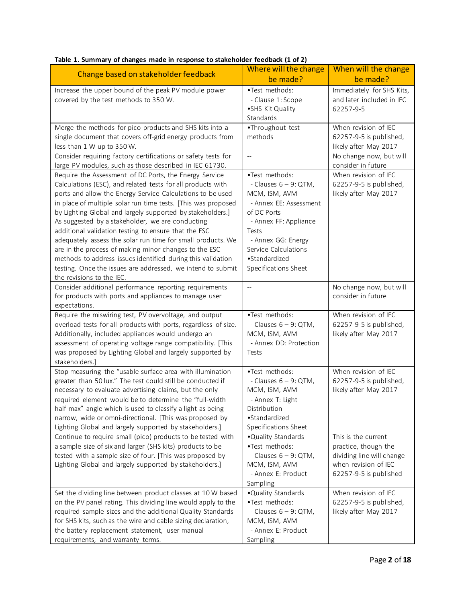| changed made in response to standing.                                                                                | <u>iceman le oie</u><br>Where will the change | When will the change                              |
|----------------------------------------------------------------------------------------------------------------------|-----------------------------------------------|---------------------------------------------------|
| Change based on stakeholder feedback                                                                                 | be made?                                      | be made?                                          |
| Increase the upper bound of the peak PV module power                                                                 | •Test methods:                                | Immediately for SHS Kits,                         |
| covered by the test methods to 350 W.                                                                                | - Clause 1: Scope                             | and later included in IEC                         |
|                                                                                                                      | •SHS Kit Quality                              | 62257-9-5                                         |
|                                                                                                                      | Standards                                     |                                                   |
| Merge the methods for pico-products and SHS kits into a                                                              | ·Throughout test                              | When revision of IEC                              |
| single document that covers off-grid energy products from                                                            | methods                                       | 62257-9-5 is published,                           |
| less than 1 W up to 350 W.                                                                                           |                                               | likely after May 2017                             |
| Consider requiring factory certifications or safety tests for                                                        | $\mathbb{L}^2$                                | No change now, but will                           |
| large PV modules, such as those described in IEC 61730.                                                              |                                               | consider in future                                |
| Require the Assessment of DC Ports, the Energy Service                                                               | •Test methods:                                | When revision of IEC                              |
| Calculations (ESC), and related tests for all products with                                                          | - Clauses $6 - 9$ : QTM,                      | 62257-9-5 is published,                           |
| ports and allow the Energy Service Calculations to be used                                                           | MCM, ISM, AVM                                 | likely after May 2017                             |
| in place of multiple solar run time tests. [This was proposed                                                        | - Annex EE: Assessment                        |                                                   |
| by Lighting Global and largely supported by stakeholders.]                                                           | of DC Ports                                   |                                                   |
| As suggested by a stakeholder, we are conducting                                                                     | - Annex FF: Appliance                         |                                                   |
| additional validation testing to ensure that the ESC                                                                 | Tests                                         |                                                   |
| adequately assess the solar run time for small products. We                                                          | - Annex GG: Energy                            |                                                   |
| are in the process of making minor changes to the ESC<br>methods to address issues identified during this validation | Service Calculations<br>•Standardized         |                                                   |
| testing. Once the issues are addressed, we intend to submit                                                          | Specifications Sheet                          |                                                   |
| the revisions to the IEC.                                                                                            |                                               |                                                   |
| Consider additional performance reporting requirements                                                               | $\overline{\phantom{a}}$                      | No change now, but will                           |
| for products with ports and appliances to manage user                                                                |                                               | consider in future                                |
| expectations.                                                                                                        |                                               |                                                   |
| Require the miswiring test, PV overvoltage, and output                                                               | •Test methods:                                | When revision of IEC                              |
| overload tests for all products with ports, regardless of size.                                                      | - Clauses $6 - 9$ : QTM,                      | 62257-9-5 is published,                           |
| Additionally, included appliances would undergo an                                                                   | MCM, ISM, AVM                                 | likely after May 2017                             |
| assessment of operating voltage range compatibility. [This                                                           | - Annex DD: Protection                        |                                                   |
| was proposed by Lighting Global and largely supported by                                                             | Tests                                         |                                                   |
| stakeholders.]                                                                                                       |                                               |                                                   |
| Stop measuring the "usable surface area with illumination                                                            | •Test methods:                                | When revision of IEC                              |
| greater than 50 lux." The test could still be conducted if                                                           | - Clauses $6 - 9$ : QTM,                      | 62257-9-5 is published,                           |
| necessary to evaluate advertising claims, but the only                                                               | MCM, ISM, AVM                                 | likely after May 2017                             |
| required element would be to determine the "full-width                                                               | - Annex T: Light                              |                                                   |
| half-max" angle which is used to classify a light as being                                                           | Distribution                                  |                                                   |
| narrow, wide or omni-directional. [This was proposed by                                                              | ·Standardized                                 |                                                   |
| Lighting Global and largely supported by stakeholders.]                                                              | Specifications Sheet                          |                                                   |
| Continue to require small (pico) products to be tested with                                                          | .Quality Standards                            | This is the current                               |
| a sample size of six and larger (SHS kits) products to be                                                            | •Test methods:<br>- Clauses $6 - 9$ : QTM,    | practice, though the                              |
| tested with a sample size of four. [This was proposed by<br>Lighting Global and largely supported by stakeholders.]  | MCM, ISM, AVM                                 | dividing line will change<br>when revision of IEC |
|                                                                                                                      | - Annex E: Product                            | 62257-9-5 is published                            |
|                                                                                                                      | Sampling                                      |                                                   |
| Set the dividing line between product classes at 10 W based                                                          | .Quality Standards                            | When revision of IEC                              |
| on the PV panel rating. This dividing line would apply to the                                                        | •Test methods:                                | 62257-9-5 is published,                           |
| required sample sizes and the additional Quality Standards                                                           | - Clauses $6 - 9$ : QTM,                      | likely after May 2017                             |
| for SHS kits, such as the wire and cable sizing declaration,                                                         | MCM, ISM, AVM                                 |                                                   |
| the battery replacement statement, user manual                                                                       | - Annex E: Product                            |                                                   |
| requirements, and warranty terms.                                                                                    | Sampling                                      |                                                   |

#### **Table 1. Summary of changes made in response to stakeholder feedback (1 of 2)**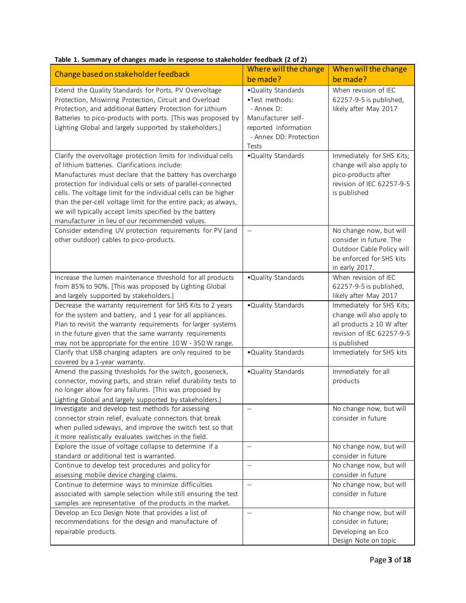|                                                                                                                                                                                                                                                                                                                                                                                                                                                                                                    | Where will the change                                                                                                               | When will the change                                                                                                                  |
|----------------------------------------------------------------------------------------------------------------------------------------------------------------------------------------------------------------------------------------------------------------------------------------------------------------------------------------------------------------------------------------------------------------------------------------------------------------------------------------------------|-------------------------------------------------------------------------------------------------------------------------------------|---------------------------------------------------------------------------------------------------------------------------------------|
| Change based on stakeholder feedback                                                                                                                                                                                                                                                                                                                                                                                                                                                               | be made?                                                                                                                            | be made?                                                                                                                              |
| Extend the Quality Standards for Ports, PV Overvoltage<br>Protection, Miswiring Protection, Circuit and Overload<br>Protection, and additional Battery Protection for Lithium<br>Batteries to pico-products with ports. [This was proposed by<br>Lighting Global and largely supported by stakeholders.]                                                                                                                                                                                           | .Quality Standards<br>•Test methods:<br>- Annex D:<br>Manufacturer self-<br>reported information<br>- Annex DD: Protection<br>Tests | When revision of IEC<br>62257-9-5 is published,<br>likely after May 2017                                                              |
| Clarify the overvoltage protection limits for individual cells<br>of lithium batteries. Clarifications include:<br>Manufactures must declare that the battery has overcharge<br>protection for individual cells or sets of parallel-connected<br>cells. The voltage limit for the individual cells can be higher<br>than the per-cell voltage limit for the entire pack; as always,<br>we will typically accept limits specified by the battery<br>manufacturer in lieu of our recommended values. | .Quality Standards                                                                                                                  | Immediately for SHS Kits;<br>change will also apply to<br>pico-products after<br>revision of IEC 62257-9-5<br>is published            |
| Consider extending UV protection requirements for PV (and<br>other outdoor) cables to pico-products.                                                                                                                                                                                                                                                                                                                                                                                               | $\mathbb{Z}^2$                                                                                                                      | No change now, but will<br>consider in future. The<br>Outdoor Cable Policy will<br>be enforced for SHS kits<br>in early 2017.         |
| Increase the lumen maintenance threshold for all products<br>from 85% to 90%. [This was proposed by Lighting Global<br>and largely supported by stakeholders.]                                                                                                                                                                                                                                                                                                                                     | .Quality Standards                                                                                                                  | When revision of IEC<br>62257-9-5 is published,<br>likely after May 2017                                                              |
| Decrease the warranty requirement for SHS Kits to 2 years<br>for the system and battery, and 1 year for all appliances.<br>Plan to revisit the warranty requirements for larger systems<br>in the future given that the same warranty requirements<br>may not be appropriate for the entire 10 W - 350 W range.                                                                                                                                                                                    | .Quality Standards                                                                                                                  | Immediately for SHS Kits;<br>change will also apply to<br>all products $\geq 10$ W after<br>revision of IEC 62257-9-5<br>is published |
| Clarify that USB charging adapters are only required to be<br>covered by a 1-year warranty.                                                                                                                                                                                                                                                                                                                                                                                                        | .Quality Standards                                                                                                                  | Immediately for SHS kits                                                                                                              |
| Amend the passing thresholds for the switch, gooseneck,<br>connector, moving parts, and strain relief durability tests to<br>no longer allow for any failures. [This was proposed by<br>Lighting Global and largely supported by stakeholders.]                                                                                                                                                                                                                                                    | .Quality Standards                                                                                                                  | Immediately for all<br>products                                                                                                       |
| Investigate and develop test methods for assessing<br>connector strain relief, evaluate connectors that break<br>when pulled sideways, and improve the switch test so that<br>it more realistically evaluates switches in the field.                                                                                                                                                                                                                                                               |                                                                                                                                     | No change now, but will<br>consider in future                                                                                         |
| Explore the issue of voltage collapse to determine if a<br>standard or additional test is warranted.                                                                                                                                                                                                                                                                                                                                                                                               | $\sim$ $\sim$                                                                                                                       | No change now, but will<br>consider in future                                                                                         |
| Continue to develop test procedures and policy for<br>assessing mobile device charging claims.                                                                                                                                                                                                                                                                                                                                                                                                     | $-\, -$                                                                                                                             | No change now, but will<br>consider in future                                                                                         |
| Continue to determine ways to minimize difficulties<br>associated with sample selection while still ensuring the test<br>samples are representative of the products in the market.                                                                                                                                                                                                                                                                                                                 | $\sim$ $\sim$                                                                                                                       | No change now, but will<br>consider in future                                                                                         |
| Develop an Eco Design Note that provides a list of<br>recommendations for the design and manufacture of<br>repairable products.                                                                                                                                                                                                                                                                                                                                                                    | $\sim$ $\sim$                                                                                                                       | No change now, but will<br>consider in future;<br>Developing an Eco<br>Design Note on topic                                           |

#### **Table 1. Summary of changes made in response to stakeholder feedback (2 of 2)**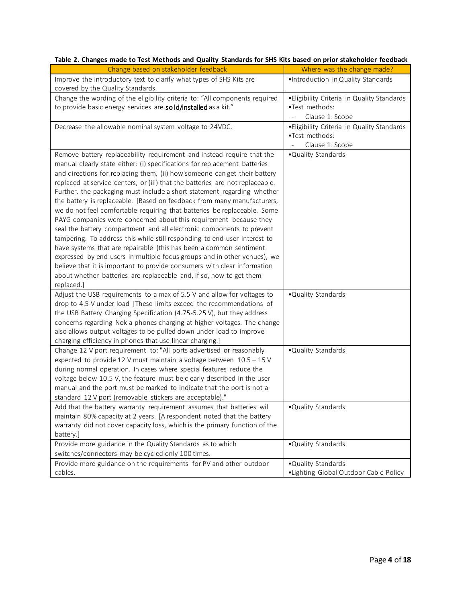| Change based on stakeholder feedback                                          | Where was the change made?                  |
|-------------------------------------------------------------------------------|---------------------------------------------|
| Improve the introductory text to clarify what types of SHS Kits are           | .Introduction in Quality Standards          |
| covered by the Quality Standards.                                             |                                             |
| Change the wording of the eligibility criteria to: "All components required   | .Eligibility Criteria in Quality Standards  |
| to provide basic energy services are sold/installed as a kit."                | •Test methods:                              |
|                                                                               | Clause 1: Scope                             |
| Decrease the allowable nominal system voltage to 24VDC.                       | • Eligibility Criteria in Quality Standards |
|                                                                               | •Test methods:                              |
|                                                                               | Clause 1: Scope                             |
| Remove battery replaceability requirement and instead require that the        | .Quality Standards                          |
| manual clearly state either: (i) specifications for replacement batteries     |                                             |
| and directions for replacing them, (ii) how someone can get their battery     |                                             |
| replaced at service centers, or (iii) that the batteries are not replaceable. |                                             |
| Further, the packaging must include a short statement regarding whether       |                                             |
| the battery is replaceable. [Based on feedback from many manufacturers,       |                                             |
| we do not feel comfortable requiring that batteries be replaceable. Some      |                                             |
| PAYG companies were concerned about this requirement because they             |                                             |
| seal the battery compartment and all electronic components to prevent         |                                             |
| tampering. To address this while still responding to end-user interest to     |                                             |
| have systems that are repairable (this has been a common sentiment            |                                             |
| expressed by end-users in multiple focus groups and in other venues), we      |                                             |
| believe that it is important to provide consumers with clear information      |                                             |
| about whether batteries are replaceable and, if so, how to get them           |                                             |
| replaced.]                                                                    |                                             |
| Adjust the USB requirements to a max of 5.5 V and allow for voltages to       | .Quality Standards                          |
| drop to 4.5 V under load [These limits exceed the recommendations of          |                                             |
| the USB Battery Charging Specification (4.75-5.25 V), but they address        |                                             |
| concerns regarding Nokia phones charging at higher voltages. The change       |                                             |
| also allows output voltages to be pulled down under load to improve           |                                             |
| charging efficiency in phones that use linear charging.]                      |                                             |
| Change 12 V port requirement to: "All ports advertised or reasonably          | .Quality Standards                          |
| expected to provide 12 V must maintain a voltage between $10.5 - 15$ V        |                                             |
| during normal operation. In cases where special features reduce the           |                                             |
| voltage below 10.5 V, the feature must be clearly described in the user       |                                             |
| manual and the port must be marked to indicate that the port is not a         |                                             |
| standard 12 V port (removable stickers are acceptable)."                      |                                             |
| Add that the battery warranty requirement assumes that batteries will         | •Quality Standards                          |
| maintain 80% capacity at 2 years. [A respondent noted that the battery        |                                             |
| warranty did not cover capacity loss, which is the primary function of the    |                                             |
| battery.]                                                                     |                                             |
| Provide more guidance in the Quality Standards as to which                    | .Quality Standards                          |
| switches/connectors may be cycled only 100 times.                             |                                             |
| Provide more guidance on the requirements for PV and other outdoor            | .Quality Standards                          |
| cables.                                                                       | .Lighting Global Outdoor Cable Policy       |

#### **Table 2. Changes made to Test Methods and Quality Standards for SHS Kits based on prior stakeholder feedback**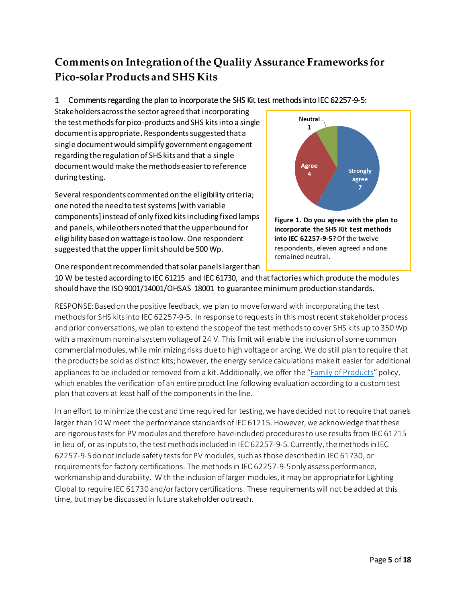# **Comments on Integration of the Quality Assurance Frameworks for Pico-solar Products and SHS Kits**

## 1 Comments regarding the plan to incorporate the SHS Kit test methods into IEC 62257-9-5:

Stakeholders across the sector agreed that incorporating the test methods forpico-products and SHS kitsinto a single document is appropriate. Respondents suggested that a single document would simplify government engagement regarding the regulation of SHS kits and that a single document would make the methods easier to reference during testing.

Several respondents commented on the eligibility criteria; one noted the need to test systems [with variable components] instead of only fixed kits including fixed lamps and panels, while others noted that the upper bound for eligibility based on wattage is too low. One respondent suggested that the upper limit should be 500 Wp.



One respondent recommended that solar panels larger than

10 W be tested according to IEC 61215 and IEC 61730, and that factories which produce the modules should have the ISO 9001/14001/OHSAS 18001 to guarantee minimum production standards.

RESPONSE: Based on the positive feedback, we plan to move forward with incorporating the test methods for SHS kits into IEC 62257-9-5. In response to requests in this most recent stakeholder process and prior conversations, we plan to extend the scope of the test methods to cover SHS kits up to 350 Wp with a maximum nominal system voltage of 24 V. This limit will enable the inclusion of some common commercial modules, while minimizing risks due to high voltage or arcing. We do still plan to require that the products be sold as distinct kits; however, the energy service calculations make it easier for additional appliances to be included or removed from a kit. Additionally, we offer the ["Family of Products"](https://www.lightingglobal.org/wp-content/uploads/2014/03/LGFamiliesofProductsPolicy_v2.pdf) policy, which enables the verification of an entire product line following evaluation according to a custom test plan that covers at least half of the components in the line.

In an effort to minimize the cost and time required for testing, we have decided not to require that panels larger than 10 W meet the performance standards of IEC 61215. However, we acknowledge that these are rigorous tests for PV modules and therefore have included procedures to use results from IEC 61215 in lieu of, or as inputs to, the test methods included in IEC 62257-9-5. Currently, the methods in IEC 62257-9-5 do not include safety tests for PV modules, such as those described in IEC 61730, or requirements for factory certifications. The methods in IEC 62257-9-5only assess performance, workmanship and durability. With the inclusion of larger modules, it may be appropriate for Lighting Global to require IEC 61730 and/or factory certifications. These requirements will not be added at this time, but may be discussed in future stakeholder outreach.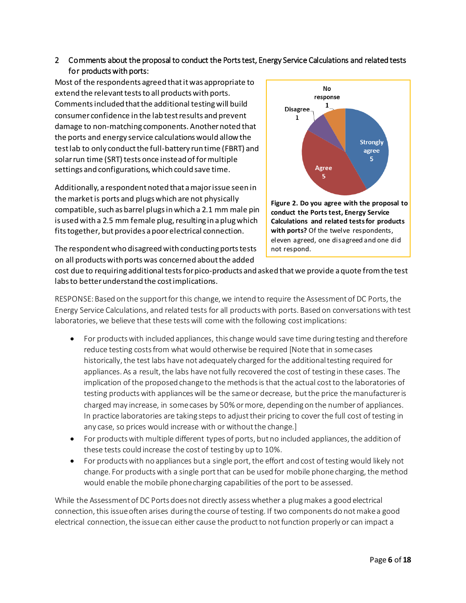## 2 Comments about the proposal to conduct the Ports test, Energy Service Calculations and related tests for products with ports:

Most of the respondents agreed that it was appropriate to extend the relevant tests to all products with ports. Comments included that the additional testing will build consumer confidence in the lab test results and prevent damage to non-matching components. Another noted that the ports and energy service calculations would allow the test lab to only conduct the full-battery run time (FBRT) and solar run time (SRT) tests once instead of for multiple settings and configurations, which could save time.

Additionally, a respondent noted that a major issue seen in the market is ports and plugs which are not physically compatible, such as barrel plugs in which a 2.1 mm male pin is used with a 2.5 mm female plug, resulting in a plug which fits together, but provides a poorelectrical connection.



**Figure 2. Do you agree with the proposal to conduct the Ports test, Energy Service Calculations and related tests for products with ports?** Of the twelve respondents, eleven agreed, one disagreed and one did not respond.

The respondent who disagreed with conducting ports tests on all products with ports was concerned about the added

cost due to requiring additional tests for pico-products and asked that we provide a quote from the test labs to better understand the cost implications.

RESPONSE: Based on the support for this change, we intend to require the Assessment of DC Ports, the Energy Service Calculations, and related tests for all products with ports. Based on conversations with test laboratories, we believe that these tests will come with the following cost implications:

- For products with included appliances, this change would save time during testing and therefore reduce testing costs from what would otherwise be required [Note that in some cases historically, the test labs have not adequately charged for the additional testing required for appliances. As a result, the labs have not fully recovered the cost of testing in these cases. The implication of the proposed change to the methods is that the actual cost to the laboratories of testing products with appliances will be the same or decrease, but the price the manufacturer is charged may increase, in some cases by 50% or more, depending on the number of appliances. In practice laboratories are taking steps to adjust their pricing to cover the full cost of testing in any case, so prices would increase with or without the change.]
- For products with multiple different types of ports, but no included appliances, the addition of these tests could increase the cost of testing by up to 10%.
- For products with no appliances but a single port, the effort and cost of testing would likely not change. For products with a single portthat can be used for mobile phone charging, the method would enable the mobile phone charging capabilities of the port to be assessed.

While the Assessment of DC Ports does not directly assess whether a plug makes a good electrical connection, this issue often arises during the course of testing. If two components do not make a good electrical connection, the issue can either cause the product to not function properly or can impact a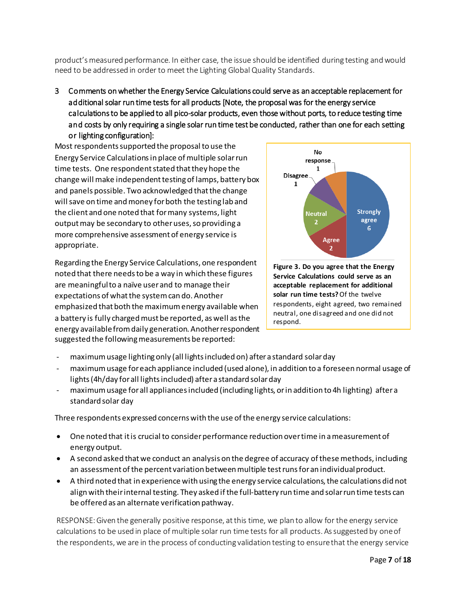product's measured performance. In either case, the issue should be identified during testing and would need to be addressed in order to meet the Lighting Global Quality Standards.

3 Comments on whether the Energy Service Calculations could serve as an acceptable replacement for additional solar run time tests for all products [Note, the proposal was for the energy service calculations to be applied to all pico-solar products, even those without ports, to reduce testing time and costs by only requiring a single solar run time test be conducted, rather than one for each setting or lighting configuration]:

Most respondents supported the proposal to use the Energy Service Calculations in place of multiple solar run time tests. One respondent stated that they hope the change will make independent testing of lamps, battery box and panels possible. Two acknowledged that the change will save on time and money for both the testing lab and the client and one noted that for many systems, light output may be secondary to other uses, so providing a more comprehensive assessment of energy service is appropriate.

Regarding the Energy Service Calculations, one respondent noted that there needs to be a way in which these figures are meaningful to a naïve user and to manage their expectations of what the system can do. Another emphasized that both the maximumenergy available when a battery is fully charged must be reported, as well as the energy available from daily generation. Another respondent suggested the following measurements be reported:



- maximum usage lighting only (all lights included on) after a standard solar day
- maximum usage for each appliance included (used alone), in addition to a foreseen normal usage of lights (4h/day for all lights included) after a standard solar day
- maximum usage for all appliances included (including lights, or in addition to 4h lighting) after a standard solar day

Three respondents expressed concerns with the use of the energy service calculations:

- One noted that it is crucial to consider performance reduction over time in a measurement of energy output.
- A second asked that we conduct an analysis on the degree of accuracy of these methods, including an assessment of the percent variation between multiple test runs for an individual product.
- A third noted that in experience with using the energy service calculations, the calculations did not align with their internal testing. They asked if the full-battery run time and solar run time tests can be offered as an alternate verification pathway.

RESPONSE: Given the generally positive response, at this time, we plan to allow for the energy service calculations to be used in place of multiple solar run time tests for all products. As suggested by one of the respondents, we are in the process of conducting validation testing to ensure that the energy service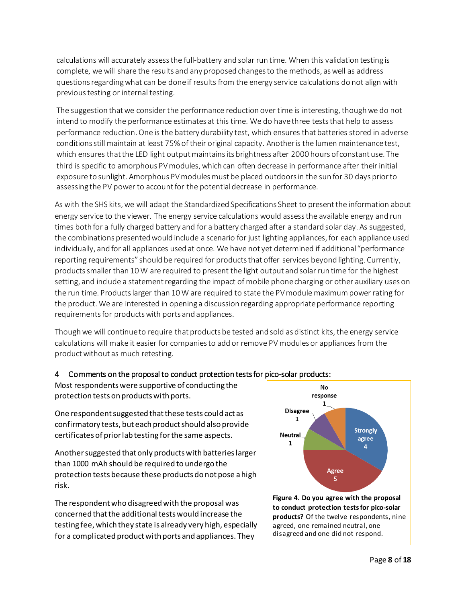calculations will accurately assess the full-battery and solar run time. When this validation testing is complete, we will share the results and any proposed changes to the methods, as well as address questions regarding what can be done if results from the energy service calculations do not align with previous testing or internal testing.

The suggestion that we consider the performance reduction over time is interesting, though we do not intend to modify the performance estimates at this time. We do have three tests that help to assess performance reduction. One is the battery durability test, which ensures that batteries stored in adverse conditions still maintain at least 75% of their original capacity. Another is the lumen maintenance test, which ensures that the LED light output maintains its brightness after 2000 hours of constant use. The third is specific to amorphous PV modules, which can often decrease in performance after their initial exposure to sunlight. Amorphous PV modules must be placed outdoors in the sun for 30 days prior to assessing the PV power to account for the potential decrease in performance.

As with the SHS kits, we will adapt the Standardized Specifications Sheet to present the information about energy service to the viewer. The energy service calculations would assess the available energy and run times both for a fully charged battery and for a battery charged after a standard solar day. As suggested, the combinations presented would include a scenario for just lighting appliances, for each appliance used individually, and for all appliances used at once. We have not yet determined if additional "performance reporting requirements" should be required for products that offer services beyond lighting. Currently, products smaller than 10 W are required to present the light output and solar run time for the highest setting, and include a statement regarding the impact of mobile phone charging or other auxiliary uses on the run time. Products larger than 10 W are required to state the PV module maximum power rating for the product. We are interested in opening a discussion regarding appropriate performance reporting requirements for products with ports and appliances.

Though we will continue to require that products be tested and sold as distinct kits, the energy service calculations will make it easier for companies to add or remove PV modules or appliances from the product without as much retesting.

### 4 Comments on the proposal to conduct protection tests for pico-solar products:

Most respondents were supportive of conducting the protection tests on products with ports.

One respondent suggested that these tests could act as confirmatory tests, but each product should also provide certificates of prior lab testing for the same aspects.

Another suggested that only products with batteries larger than 1000 mAh should be required to undergo the protection tests because these products do not pose a high risk.

The respondent who disagreed with the proposal was concerned that the additional tests would increase the testing fee, which they state is already very high, especially for a complicated product with ports and appliances. They



**Figure 4. Do you agree with the proposal to conduct protection tests for pico-solar products?** Of the twelve respondents, nine agreed, one remained neutral, one disagreed and one did not respond.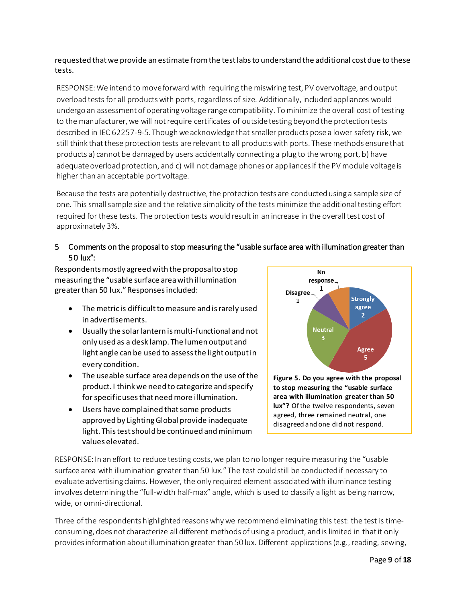### requested that we provide an estimate from the test labsto understand the additional cost due to these tests.

RESPONSE: We intend to move forward with requiring the miswiring test, PV overvoltage, and output overload tests for all products with ports, regardless of size. Additionally, included appliances would undergo an assessment of operating voltage range compatibility. To minimize the overall cost of testing to the manufacturer, we will not require certificates of outside testing beyond the protection tests described in IEC 62257-9-5. Though we acknowledge that smaller products pose a lower safety risk, we still think that these protection tests are relevant to all products with ports. These methods ensure that products a) cannot be damaged by users accidentally connecting a plug to the wrong port, b) have adequate overload protection, and c) will not damage phones or appliances if the PV module voltage is higher than an acceptable port voltage.

Because the tests are potentially destructive, the protection tests are conducted using a sample size of one. This small sample size and the relative simplicity of the tests minimize the additional testing effort required for these tests. The protection tests would result in an increase in the overall test cost of approximately 3%.

### 5 Comments on the proposal to stop measuring the "usable surface area with illumination greater than 50 lux":

Respondents mostly agreed with the proposal to stop measuring the "usable surface area with illumination greater than 50 lux." Responses included:

- The metric is difficult to measure and is rarely used in advertisements.
- Usually the solar lantern is multi-functional and not only used as a desk lamp. The lumen output and light angle can be used to assess the light output in every condition.
- The useable surface area depends on the use of the product. I think we need to categorize and specify for specific uses that need more illumination.
- Users have complained that some products approved by Lighting Global provide inadequate light. This test should be continued and minimum values elevated.



RESPONSE: In an effort to reduce testing costs, we plan to no longer require measuring the "usable surface area with illumination greater than 50 lux." The test could still be conducted if necessary to evaluate advertising claims. However, the only required element associated with illuminance testing involves determining the "full-width half-max" angle, which is used to classify a light as being narrow, wide, or omni-directional.

Three of the respondents highlighted reasons why we recommend eliminating this test: the test is timeconsuming, does not characterize all different methods of using a product, and is limited in that it only provides information about illumination greater than 50 lux. Different applications (e.g., reading, sewing,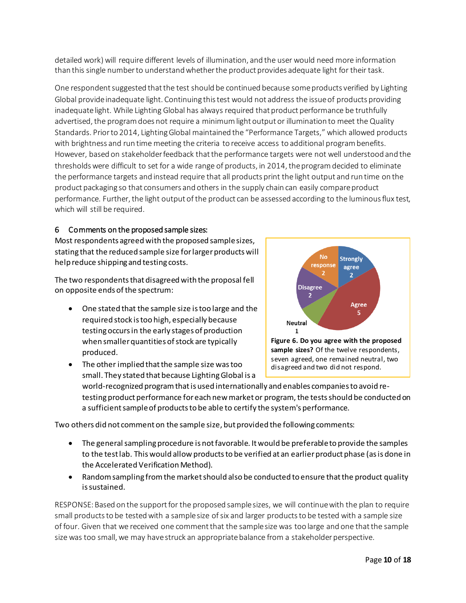detailed work) will require different levels of illumination, and the user would need more information than this single number to understand whether the product provides adequate light for their task.

One respondent suggested that the test should be continued because some products verified by Lighting Global provide inadequate light. Continuing this test would not address the issue of products providing inadequate light. While Lighting Global has always required that product performance be truthfully advertised, the program does not require a minimum light output or illumination to meet the Quality Standards. Prior to 2014, Lighting Global maintained the "Performance Targets," which allowed products with brightness and run time meeting the criteria to receive access to additional program benefits. However, based on stakeholder feedback that the performance targets were not well understood and the thresholds were difficult to set for a wide range of products, in 2014, the program decided to eliminate the performance targets and instead require that all products print the light output and run time on the product packaging so that consumers and others in the supply chain can easily compare product performance. Further, the light output of the product can be assessed according to the luminous flux test, which will still be required.

### 6 Comments on the proposed sample sizes:

Most respondents agreed with the proposed sample sizes, stating that the reduced sample size for larger products will help reduce shipping and testing costs.

The two respondents that disagreed with the proposal fell on opposite ends of the spectrum:

- One stated that the sample size is too large and the required stock is too high, especially because testing occurs in the early stages of production when smaller quantities of stock are typically produced.
- The other implied that the sample size was too small. They stated that because Lighting Global is a world-recognized program that is used internationally and enables companies to avoid retesting product performance for each new market or program, the tests should be conducted on a sufficient sample of products to be able to certify the system's performance. disagreed and two did not respond.

Two others did not comment on the sample size, but provided the following comments:

- The general sampling procedure is not favorable. It would be preferable to provide the samples to the test lab. This would allow productsto be verified at an earlier product phase (as is done in the Accelerated Verification Method).
- Random sampling from the marketshould also be conducted to ensure that the product quality is sustained.

RESPONSE: Based on the support for the proposed sample sizes, we will continue with the plan to require small products to be tested with a sample size of six and larger products to be tested with a sample size of four. Given that we received one comment that the sample size was too large and one that the sample size was too small, we may have struck an appropriatebalance from a stakeholder perspective.

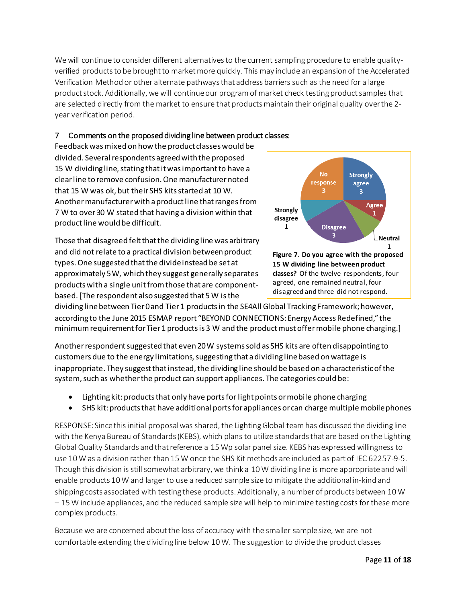We will continue to consider different alternatives to the current sampling procedure to enable qualityverified products to be brought to market more quickly. This may include an expansion of the Accelerated Verification Method or other alternate pathways that address barriers such as the need for a large product stock. Additionally, we will continue our program of market check testing product samples that are selected directly from the market to ensure that products maintain their original quality over the 2 year verification period.

## 7 Comments on the proposed dividing line between product classes:

Feedback was mixed on how the product classes would be divided. Several respondents agreed with the proposed 15 W dividing line, stating that it was important to have a clear line to remove confusion. One manufacturernoted that 15 W was ok, but their SHS kits started at 10 W. Another manufacturerwith a product line that ranges from 7 W to over 30 W stated that having a division within that product line would be difficult.

Those that disagreed felt that the dividing line was arbitrary and did not relate to a practical division between product types. One suggested that the divide instead be set at approximately 5W, which they suggest generally separates products with a single unit from those that are componentbased. [The respondent also suggested that 5 W is the



dividing line between Tier0 and Tier1 products in the SE4All Global Tracking Framework; however, according to the June 2015 ESMAP report "BEYOND CONNECTIONS: Energy Access Redefined," the minimum requirement for Tier 1 products is 3 W and the product must offer mobile phone charging.]

Another respondent suggested that even 20W systems sold as SHS kits are often disappointing to customers due to the energy limitations, suggesting that a dividing line based on wattage is inappropriate. They suggest that instead, the dividing line should be based on a characteristic of the system, such as whether the product can support appliances. The categories could be:

- Lighting kit: products that only have ports for light points or mobile phone charging
- SHS kit: products that have additional ports for appliances or can charge multiple mobile phones

RESPONSE: Since this initial proposal was shared, the Lighting Global team has discussed the dividing line with the Kenya Bureau of Standards(KEBS), which plans to utilize standards that are based on the Lighting Global Quality Standards and that reference a 15 Wp solar panel size. KEBS has expressed willingness to use 10 W as a division rather than 15 W once the SHS Kit methods are included as part of IEC 62257-9-5. Though this division is still somewhat arbitrary, we think a 10 W dividing line is more appropriate and will enable products 10 W and larger to use a reduced sample size to mitigate the additional in-kind and shipping costs associated with testing these products. Additionally, a number of products between 10 W – 15 W include appliances, and the reduced sample size will help to minimize testing costs for these more complex products.

Because we are concerned about the loss of accuracy with the smaller sample size, we are not comfortable extending the dividing line below 10 W. The suggestion to divide the product classes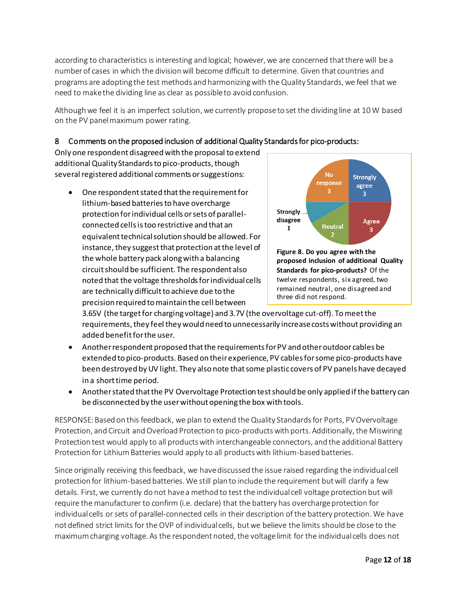according to characteristics is interesting and logical; however, we are concerned that there will be a number of cases in which the division will become difficult to determine. Given that countries and programs are adopting the test methods and harmonizing with the Quality Standards, we feel that we need to make the dividing line as clear as possible to avoid confusion.

Although we feel it is an imperfect solution, we currently propose to set the dividing line at 10 W based on the PV panel maximum power rating.

## 8 Comments on the proposed inclusion of additional Quality Standards for pico-products:

Only one respondent disagreed with the proposal to extend additional Quality Standards to pico-products, though several registered additional comments or suggestions:

• One respondent stated that the requirement for lithium-based batteries to have overcharge protection for individual cells or sets of parallelconnected cells is too restrictive and that an equivalent technical solution should be allowed. For instance, they suggest that protection at the level of the whole battery pack along with a balancing circuit should be sufficient. The respondent also noted that the voltage thresholds for individual cells are technically difficult to achieve due to the precision required to maintain the cell between



3.65V (the target for charging voltage) and 3.7V (the overvoltage cut-off). To meet the requirements, they feel they would need to unnecessarily increase costs without providing an added benefit for the user.

- Another respondent proposed that the requirements for PV and other outdoor cables be extended to pico-products. Based on their experience, PV cables for some pico-products have been destroyed by UV light. They also note that some plastic covers of PV panels have decayed in a short time period.
- Another stated that the PV Overvoltage Protection test should be only applied if the battery can be disconnected by the user without opening the box with tools.

RESPONSE: Based on this feedback, we plan to extend the Quality Standards for Ports, PV Overvoltage Protection, and Circuit and Overload Protection to pico-products with ports. Additionally, the Miswiring Protection test would apply to all products with interchangeable connectors, and the additional Battery Protection for Lithium Batteries would apply to all products with lithium-based batteries.

Since originally receiving this feedback, we have discussed the issue raised regarding the individual cell protection for lithium-based batteries. We still plan to include the requirement but will clarify a few details. First, we currently do not have a method to test the individual cell voltage protection but will require the manufacturer to confirm (i.e. declare) that the battery has overcharge protection for individual cells or sets of parallel-connected cells in their description of the battery protection. We have not defined strict limits for the OVP of individual cells, but we believe the limits should be close to the maximum charging voltage. As the respondent noted, the voltage limit for the individual cells does not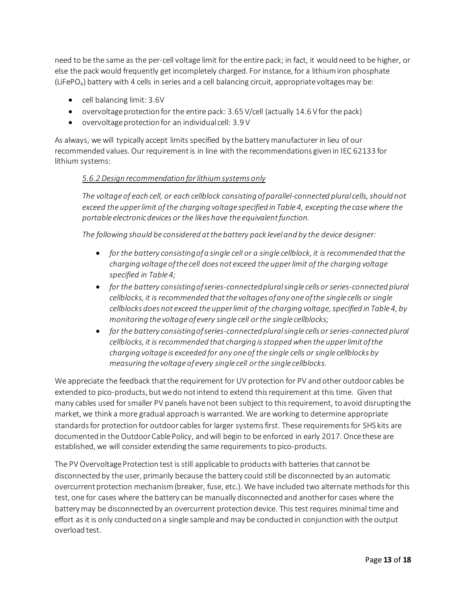need to be the same as the per-cell voltage limit for the entire pack; in fact, it would need to be higher, or else the pack would frequently get incompletely charged. For instance, for a lithium iron phosphate (LiFePO<sub>4</sub>) battery with 4 cells in series and a cell balancing circuit, appropriate voltages may be:

- cell balancing limit: 3.6V
- overvoltage protection for the entire pack: 3.65 V/cell (actually 14.6 Vfor the pack)
- overvoltage protection for an individual cell: 3.9 V

As always, we will typically accept limits specified by the battery manufacturer in lieu of our recommended values.Our requirement is in line with the recommendations given in IEC 62133 for lithium systems:

#### *5.6.2 Design recommendation for lithium systems only*

*The voltage of each cell, or each cellblock consisting of parallel-connected plural cells, should not exceed the upper limit of the charging voltage specified in Table 4, excepting the case where the portable electronic devices or the likes have the equivalent function.*

*The following should be considered at the battery pack level and by the device designer:*

- *for the battery consisting of a single cell or a single cellblock, it is recommended that the charging voltage of the cell does not exceed the upper limit of the charging voltage specified in Table 4;*
- *for the battery consisting of series-connected plural single cells or series-connected plural cellblocks, it is recommended that the voltages of any one of the single cells or single cellblocks does not exceed the upper limit of the charging voltage, specified in Table 4, by monitoring the voltage of every single cell or the single cellblocks;*
- *for the battery consisting of series-connected plural single cells or series-connected plural cellblocks, it is recommended that charging is stopped when the upper limit of the charging voltage is exceeded for any one of the single cells or single cellblocks by measuring the voltage of every single cell or the single cellblocks.*

We appreciate the feedback that the requirement for UV protection for PV and other outdoor cables be extended to pico-products, but we do not intend to extend this requirement at this time. Given that many cables used for smaller PV panels have not been subject to this requirement, to avoid disrupting the market, we think a more gradual approach is warranted. We are working to determine appropriate standards for protection for outdoor cables for larger systems first. These requirements for SHS kits are documented in the Outdoor Cable Policy, and will begin to be enforced in early 2017. Once these are established, we will consider extending the same requirements to pico-products.

The PV Overvoltage Protection test is still applicable to products with batteries that cannot be disconnected by the user, primarily because the battery could still be disconnected by an automatic overcurrent protection mechanism (breaker, fuse, etc.). We have included two alternate methods for this test, one for cases where the battery can be manually disconnected and another for cases where the battery may be disconnected by an overcurrent protection device. This test requires minimal time and effort as it is only conducted on a single sample and may be conducted in conjunction with the output overload test.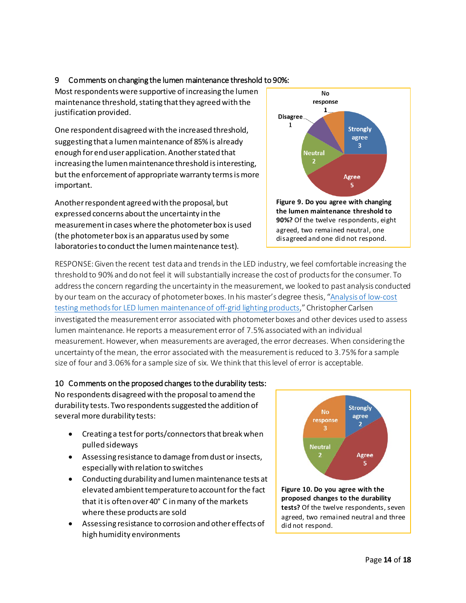## 9 Comments on changing the lumen maintenance threshold to 90%:

Most respondents were supportive of increasing the lumen maintenance threshold, stating that they agreed with the justification provided.

One respondent disagreed with the increased threshold, suggesting that a lumen maintenance of 85% is already enough for end user application. Another stated that increasing the lumen maintenance threshold is interesting, but the enforcement of appropriate warranty terms is more important.

Another respondent agreed with the proposal, but expressed concerns about the uncertainty in the measurement in cases where the photometer box is used (the photometer box is an apparatus used by some laboratories to conduct the lumen maintenance test).



agreed, two remained neutral, one disagreed and one did not respond.

RESPONSE: Given the recent test data and trends in the LED industry, we feel comfortable increasing the threshold to 90% and do not feel it will substantially increase the cost of products for the consumer. To address the concern regarding the uncertainty in the measurement, we looked to past analysis conducted by our team on the accuracy of photometer boxes. In his master's degree thesis, ["Analysis of low-cost](http://humboldt-dspace.calstate.edu/handle/2148/766)  [testing methods for LED lumen maintenance of off-grid lighting products,](http://humboldt-dspace.calstate.edu/handle/2148/766)" Christopher Carlsen investigated the measurement error associated with photometer boxes and other devices used to assess lumen maintenance. He reports a measurement error of 7.5% associated with an individual measurement. However, when measurements are averaged, the error decreases. When considering the uncertainty of the mean, the error associated with the measurementis reduced to 3.75% for a sample size of four and 3.06% for a sample size of six. We think that this level of error is acceptable.

### 10 Comments on the proposed changes to the durability tests:

No respondents disagreed with the proposal to amend the durability tests. Two respondents suggested the addition of several more durability tests:

- Creating a test for ports/connectors that break when pulled sideways
- Assessing resistance to damage from dust or insects, especially with relation to switches
- Conducting durability and lumen maintenance tests at elevated ambient temperature to account for the fact that it is often over 40° C in many of the markets where these products are sold
- Assessing resistance to corrosion and other effects of high humidity environments



**Figure 10. Do you agree with the proposed changes to the durability tests?** Of the twelve respondents, seven agreed, two remained neutral and three did not respond.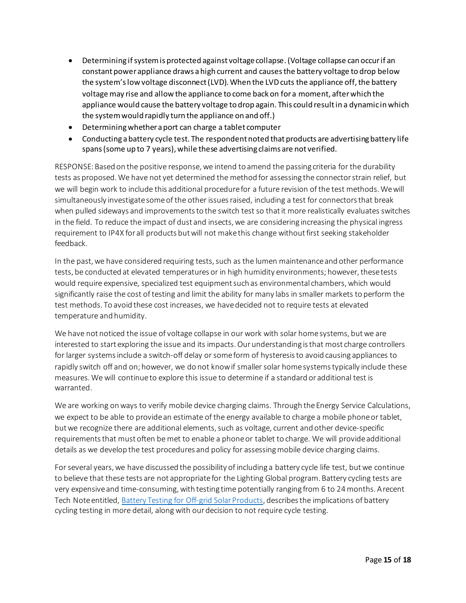- Determining if system is protected against voltage collapse.(Voltage collapse can occur if an constant power appliance draws a high current and causes the battery voltage to drop below the system's low voltage disconnect (LVD). When the LVD cuts the appliance off, the battery voltage may rise and allow the appliance to come back on for a moment, after which the appliance would cause the battery voltage to drop again. This could result in a dynamic in which the system would rapidly turn the appliance on and off.)
- Determining whether a port can charge a tablet computer
- Conducting a battery cycle test. The respondent noted that products are advertising battery life spans (some up to 7 years), while these advertising claims are not verified.

RESPONSE: Based on the positive response, we intend to amend the passing criteria for the durability tests as proposed. We have not yet determined the method for assessing the connector strain relief, but we will begin work to include this additional procedurefor a future revision of the test methods. We will simultaneously investigate some of the other issues raised, including a test for connectors that break when pulled sideways and improvements to the switch test so that it more realistically evaluates switches in the field. To reduce the impact of dust and insects, we are considering increasing the physical ingress requirement to IP4X for all products but will not make this change without first seeking stakeholder feedback.

In the past, we have considered requiring tests, such as the lumen maintenance and other performance tests, be conducted at elevated temperatures or in high humidity environments; however, these tests would require expensive, specialized test equipment such as environmental chambers, which would significantly raise the cost of testing and limit the ability for many labs in smaller markets to perform the test methods. To avoid these cost increases, we have decided not to require tests at elevated temperature and humidity.

We have not noticed the issue of voltage collapse in our work with solar home systems, but we are interested to start exploring the issue and its impacts. Our understanding is that most charge controllers for larger systems include a switch-off delay or some form of hysteresis to avoid causing appliances to rapidly switch off and on; however, we do not know if smaller solar home systems typically include these measures. We will continue to explore this issue to determine if a standard or additional test is warranted.

We are working on ways to verify mobile device charging claims. Through the Energy Service Calculations, we expect to be able to provide an estimate of the energy available to charge a mobile phone or tablet, but we recognize there are additional elements, such as voltage, current and other device-specific requirements that must often be met to enable a phone or tablet to charge. We will provide additional details as we develop the test procedures and policy for assessing mobile device charging claims.

For several years, we have discussed the possibility of including a battery cycle life test, but we continue to believe that these tests are not appropriate for the Lighting Global program. Battery cycling tests are very expensive and time-consuming, with testing time potentially ranging from 6 to 24 months. A recent Tech Note entitled[, Battery Testing for Off-grid Solar Products,](https://www.lightingglobal.org/wp-content/uploads/2016/06/Issue-23-Battery-Testing-final.pdf) describes the implications of battery cycling testing in more detail, along with our decision to not require cycle testing.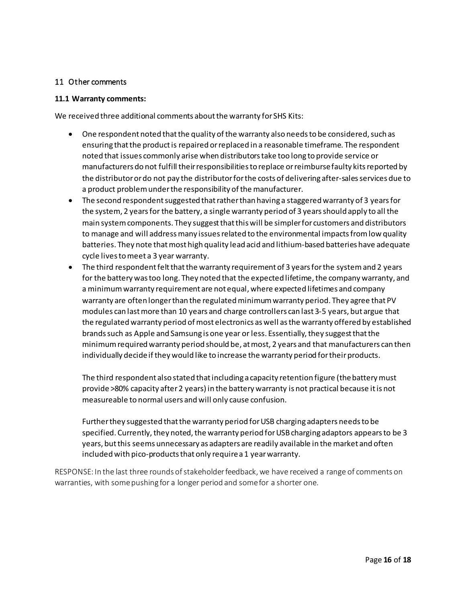#### 11 Other comments

#### **11.1 Warranty comments:**

We received three additional comments about the warranty for SHS Kits:

- One respondent noted that the quality of the warranty also needs to be considered, such as ensuring thatthe product is repaired or replaced in a reasonable timeframe. The respondent noted that issues commonly arise when distributors take too long to provide service or manufacturers do not fulfill their responsibilities to replace or reimburse faulty kits reported by the distributor or do not pay the distributor for the costs of delivering after-sales services due to a product problem under the responsibility of the manufacturer.
- The second respondent suggested that rather than having a staggered warranty of 3 years for the system, 2 years for the battery, a single warranty period of 3 years should apply to all the main system components. They suggest that this will be simpler for customers and distributors to manage and will address many issues related to the environmental impacts from low quality batteries. They note that most high quality lead acid and lithium-based batteries have adequate cycle lives to meet a 3 year warranty.
- The third respondent felt that the warranty requirement of 3 years for the system and 2 years for the battery was too long. They noted that the expected lifetime, the company warranty, and a minimum warranty requirement are not equal, where expected lifetimes and company warranty are often longer than the regulated minimum warranty period. They agree that PV modules can last more than 10 years and charge controllers can last 3-5 years, but argue that the regulated warranty period of most electronics as well as the warranty offered by established brands such as Apple and Samsung is one year or less. Essentially, they suggest that the minimum required warranty period should be, at most, 2 years and that manufacturers can then individually decide if they would like to increase the warranty period for their products.

The third respondent also stated that including a capacity retention figure (the battery must provide >80% capacity after 2 years) in the battery warranty is not practical because it is not measureable to normal users and will only cause confusion.

Further they suggested that the warranty period for USB charging adapters needs to be specified. Currently, they noted, the warranty period for USB charging adaptors appears to be 3 years, but this seems unnecessary as adapters are readily available in the market and often includedwith pico-products that only require a 1 year warranty.

RESPONSE: In the last three rounds of stakeholder feedback, we have received a range of comments on warranties, with somepushing for a longer period and some for a shorter one.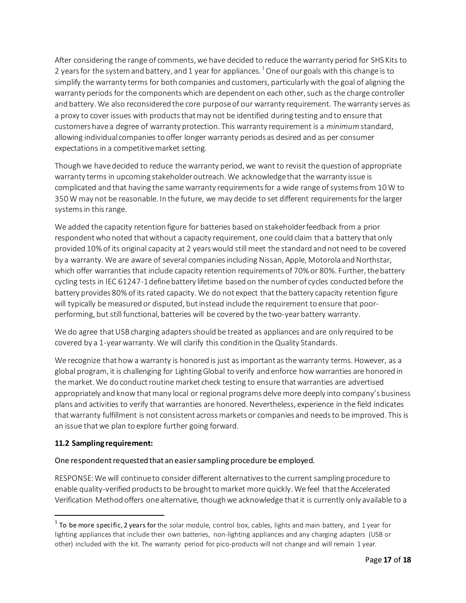After considering the range of comments, we have decided to reduce the warranty period for SHS Kits to 2 years for the system and battery, and [1](#page-16-0) year for appliances.  $^1$  One of our goals with this change is to simplify the warranty terms for both companies and customers, particularly with the goal of aligning the warranty periods for the components which are dependent on each other, such as the charge controller and battery. We also reconsidered the core purpose of our warranty requirement. The warranty serves as a proxy to cover issues with products that may not be identified during testing and to ensure that customers have a degree of warranty protection. This warranty requirement is a *minimum*standard, allowing individual companies to offer longer warranty periods as desired and as per consumer expectations in a competitive market setting.

Though we have decided to reduce the warranty period, we want to revisit the question of appropriate warranty terms in upcoming stakeholder outreach. We acknowledge that the warranty issue is complicated and that having the same warranty requirements for a wide range of systemsfrom 10 W to 350 W may not be reasonable. In the future, we may decide to set different requirements for the larger systems in this range.

We added the capacity retention figure for batteries based on stakeholder feedback from a prior respondent who noted that without a capacity requirement, one could claim that a battery that only provided 10% of its original capacity at 2 years would still meet the standard and not need to be covered by a warranty. We are aware of several companies including Nissan, Apple, Motorola and Northstar, which offer warranties that include capacity retention requirements of 70% or 80%. Further, the battery cycling tests in IEC 61247-1 define battery lifetime based on the number of cycles conducted before the battery provides 80% of its rated capacity. We do not expect that the battery capacity retention figure will typically be measured or disputed, but instead include the requirement to ensure that poorperforming, but still functional, batteries will be covered by the two-year battery warranty.

We do agree that USB charging adapters should be treated as appliances and are only required to be covered by a 1-year warranty. We will clarify this condition in the Quality Standards.

We recognize that how a warranty is honored is just as important as the warranty terms. However, as a global program, it is challenging for Lighting Global to verify and enforce how warranties are honored in the market. We do conduct routine market check testing to ensure that warranties are advertised appropriately and know that many local or regional programs delve more deeply into company's business plans and activities to verify that warranties are honored. Nevertheless, experience in the field indicates that warranty fulfillment is not consistent across markets or companies and needs to be improved. This is an issue that we plan to explore further going forward.

### **11.2 Sampling requirement:**

### One respondent requested that an easier sampling procedure be employed.

RESPONSE: We will continue to consider different alternatives to the current sampling procedure to enable quality-verified products to be brought to market more quickly. We feel that the Accelerated Verification Method offers one alternative, though we acknowledge that it is currently only available to a

<span id="page-16-0"></span> $1$  To be more specific, 2 years for the solar module, control box, cables, lights and main battery, and 1 year for lighting appliances that include their own batteries, non-lighting appliances and any charging adapters (USB or other) included with the kit. The warranty period for pico-products will not change and will remain 1 year.